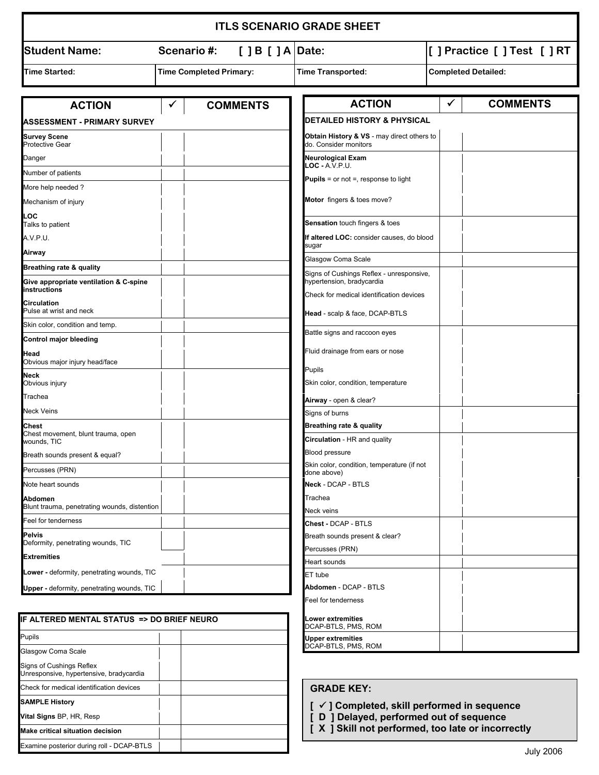|                                                        |                                                                                                           |                 | <b>ITLS SCENARIO GRADE SHEET</b>                                           |              |                            |
|--------------------------------------------------------|-----------------------------------------------------------------------------------------------------------|-----------------|----------------------------------------------------------------------------|--------------|----------------------------|
| <b>Student Name:</b>                                   | $[$ $]$ B $[$ $]$ A $ $ Date:<br>Scenario#:<br><b>Time Completed Primary:</b><br><b>Time Transported:</b> |                 | [ ] Practice [ ] Test [ ] RT                                               |              |                            |
| <b>Time Started:</b>                                   |                                                                                                           |                 |                                                                            |              | <b>Completed Detailed:</b> |
| <b>ACTION</b>                                          | ✔                                                                                                         | <b>COMMENTS</b> | <b>ACTION</b>                                                              | $\checkmark$ | <b>COMMENTS</b>            |
| ASSESSMENT - PRIMARY SURVEY                            |                                                                                                           |                 | <b>DETAILED HISTORY &amp; PHYSICAL</b>                                     |              |                            |
| <b>Survey Scene</b><br><b>Protective Gear</b>          |                                                                                                           |                 | Obtain History & VS - may direct others to<br>do. Consider monitors        |              |                            |
| Danger                                                 |                                                                                                           |                 | <b>Neurological Exam</b>                                                   |              |                            |
| Number of patients                                     |                                                                                                           |                 | $LOC - A.V.P.U.$                                                           |              |                            |
| More help needed?                                      |                                                                                                           |                 | <b>Pupils</b> = or not =, response to light                                |              |                            |
| Mechanism of injury                                    |                                                                                                           |                 | Motor fingers & toes move?                                                 |              |                            |
| LOC<br>Talks to patient                                |                                                                                                           |                 | <b>Sensation touch fingers &amp; toes</b>                                  |              |                            |
| A.V.P.U.                                               |                                                                                                           |                 | If altered LOC: consider causes, do blood                                  |              |                            |
| Airway                                                 |                                                                                                           |                 | sugar                                                                      |              |                            |
| Breathing rate & quality                               |                                                                                                           |                 | Glasgow Coma Scale                                                         |              |                            |
| Give appropriate ventilation & C-spine<br>instructions |                                                                                                           |                 | Signs of Cushings Reflex - unresponsive,<br>hypertension, bradycardia      |              |                            |
| <b>Circulation</b><br>Pulse at wrist and neck          |                                                                                                           |                 | Check for medical identification devices<br>Head - scalp & face, DCAP-BTLS |              |                            |
| Skin color, condition and temp.                        |                                                                                                           |                 |                                                                            |              |                            |
| Control major bleeding                                 |                                                                                                           |                 | Battle signs and raccoon eyes                                              |              |                            |
| Head<br>Obvious major injury head/face                 |                                                                                                           |                 | Fluid drainage from ears or nose                                           |              |                            |
| Neck                                                   |                                                                                                           |                 | Pupils                                                                     |              |                            |
| Obvious injury                                         |                                                                                                           |                 | Skin color, condition, temperature                                         |              |                            |
| Trachea                                                |                                                                                                           |                 | Airway - open & clear?                                                     |              |                            |
| Neck Veins                                             |                                                                                                           |                 | Signs of burns                                                             |              |                            |
| Chest<br>Chest movement, blunt trauma, open            |                                                                                                           |                 | Breathing rate & quality                                                   |              |                            |
| wounds, TIC                                            |                                                                                                           |                 | <b>Circulation</b> - HR and quality                                        |              |                            |
| Breath sounds present & equal?                         |                                                                                                           |                 | <b>Blood pressure</b>                                                      |              |                            |
| Percusses (PRN)                                        |                                                                                                           |                 | Skin color, condition, temperature (if not<br>done above)                  |              |                            |
| Note heart sounds                                      |                                                                                                           |                 | <b>Neck - DCAP - BTLS</b>                                                  |              |                            |
| Abdomen                                                |                                                                                                           |                 | Trachea                                                                    |              |                            |
| Blunt trauma, penetrating wounds, distention           |                                                                                                           |                 | Neck veins                                                                 |              |                            |
| Feel for tenderness                                    |                                                                                                           |                 | Chest - DCAP - BTLS                                                        |              |                            |
| <b>Pelvis</b><br>Deformity, penetrating wounds, TIC    |                                                                                                           |                 | Breath sounds present & clear?                                             |              |                            |
| <b>Extremities</b>                                     |                                                                                                           |                 | Percusses (PRN)<br>Heart sounds                                            |              |                            |
| Lower - deformity, penetrating wounds, TIC             |                                                                                                           |                 | ET tube                                                                    |              |                            |
| Upper - deformity, penetrating wounds, TIC             |                                                                                                           |                 | Abdomen - DCAP - BTLS                                                      |              |                            |
|                                                        |                                                                                                           |                 | Feel for tenderness                                                        |              |                            |
| IF ALTERED MENTAL STATUS => DO BRIEF NEURO             |                                                                                                           |                 | Lower extremities<br>DCAP-BTLS, PMS, ROM                                   |              |                            |

| IF ALTERED MENTAL STATUS => DO BRIEF NEURO                          |  |  |  |
|---------------------------------------------------------------------|--|--|--|
| <b>Pupils</b>                                                       |  |  |  |
| Glasgow Coma Scale                                                  |  |  |  |
| Signs of Cushings Reflex<br>Unresponsive, hypertensive, bradycardia |  |  |  |
| Check for medical identification devices                            |  |  |  |
| <b>SAMPLE History</b>                                               |  |  |  |
| <b>Vital Signs BP, HR, Resp</b>                                     |  |  |  |
| Make critical situation decision                                    |  |  |  |
| Examine posterior during roll - DCAP-BTLS                           |  |  |  |

## **GRADE KEY:**

**Upper extremities** DCAP-BTLS, PMS, ROM

- **[** 9 **] Completed, skill performed in sequence**
- **[ D ] Delayed, performed out of sequence**
- **[ X ] Skill not performed, too late or incorrectly**